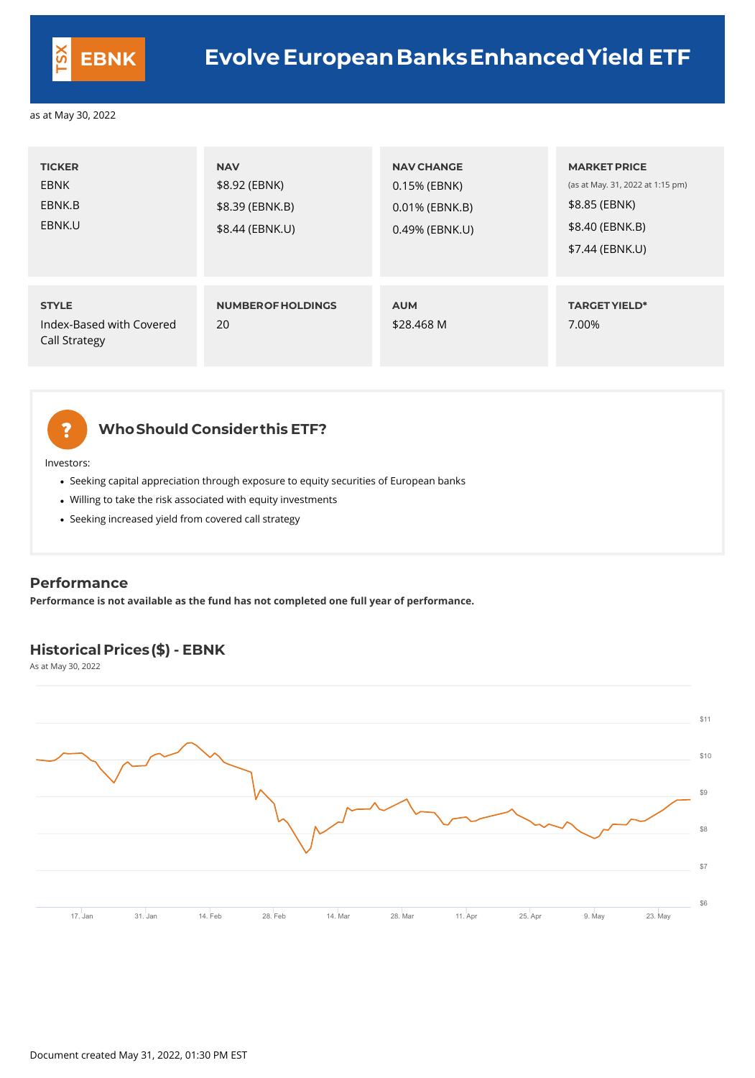## **WhoShould Considerthis ETF?**

Investors:

- Seeking capital appreciation through exposure to equity securities of European banks
- Willing to take the risk associated with equity investments
- Seeking increased yield from covered call strategy

| <b>TICKER</b><br><b>EBNK</b><br>EBNK.B<br>EBNK.U                 | <b>NAV</b><br>\$8.92 (EBNK)<br>\$8.39 (EBNK.B)<br>\$8.44 (EBNK.U) | <b>NAV CHANGE</b><br>0.15% (EBNK)<br>0.01% (EBNK.B)<br>0.49% (EBNK.U) | <b>MARKET PRICE</b><br>(as at May. 31, 2022 at 1:15 pm)<br>\$8.85 (EBNK)<br>\$8.40 (EBNK.B)<br>\$7.44 (EBNK.U) |
|------------------------------------------------------------------|-------------------------------------------------------------------|-----------------------------------------------------------------------|----------------------------------------------------------------------------------------------------------------|
| <b>STYLE</b><br>Index-Based with Covered<br><b>Call Strategy</b> | <b>NUMBEROF HOLDINGS</b><br>20                                    | <b>AUM</b><br>\$28.468 M                                              | <b>TARGET YIELD*</b><br>7.00%                                                                                  |

# ?

#### **Performance**

**Performance is not available as the fund has not completed one full year of performance.**

## **Historical Prices(\$) - EBNK**

As at May 30, 2022

|  | 7. Jan | ◠◢<br>31. Jan | Feb | 28. Feb | ←. Mar | 0 ה<br>28. Mar | 11. Ap | 25. Apr | 9. May | 23. May |
|--|--------|---------------|-----|---------|--------|----------------|--------|---------|--------|---------|
|--|--------|---------------|-----|---------|--------|----------------|--------|---------|--------|---------|





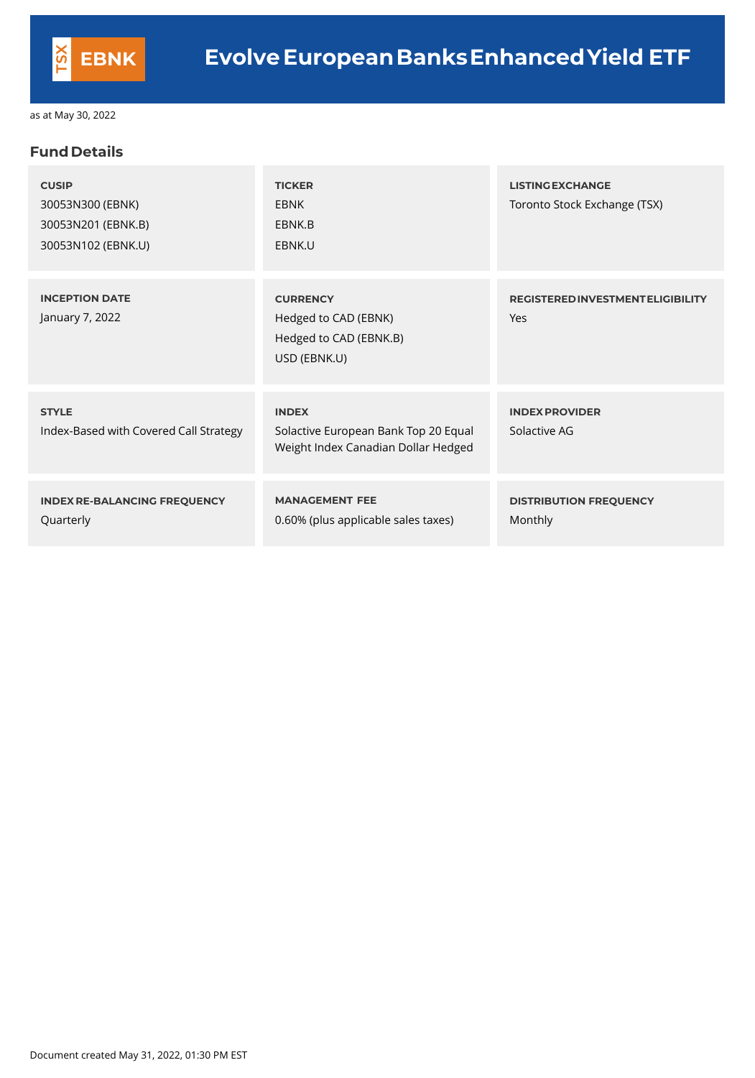### **Fund Details**

| <b>CUSIP</b><br>30053N300 (EBNK)<br>30053N201 (EBNK.B)<br>30053N102 (EBNK.U) | <b>TICKER</b><br><b>EBNK</b><br>EBNK.B<br>EBNK.U                                            | <b>LISTING EXCHANGE</b><br>Toronto Stock Exchange (TSX) |
|------------------------------------------------------------------------------|---------------------------------------------------------------------------------------------|---------------------------------------------------------|
| <b>INCEPTION DATE</b><br>January 7, 2022                                     | <b>CURRENCY</b><br>Hedged to CAD (EBNK)<br>Hedged to CAD (EBNK.B)<br>USD (EBNK.U)           | <b>REGISTERED INVESTMENT ELIGIBILITY</b><br>Yes         |
| <b>STYLE</b><br>Index-Based with Covered Call Strategy                       | <b>INDEX</b><br>Solactive European Bank Top 20 Equal<br>Weight Index Canadian Dollar Hedged | <b>INDEX PROVIDER</b><br>Solactive AG                   |
| <b>INDEX RE-BALANCING FREQUENCY</b><br>Quarterly                             | <b>MANAGEMENT FEE</b><br>0.60% (plus applicable sales taxes)                                | <b>DISTRIBUTION FREQUENCY</b><br>Monthly                |

Document created May 31, 2022, 01:30 PM EST

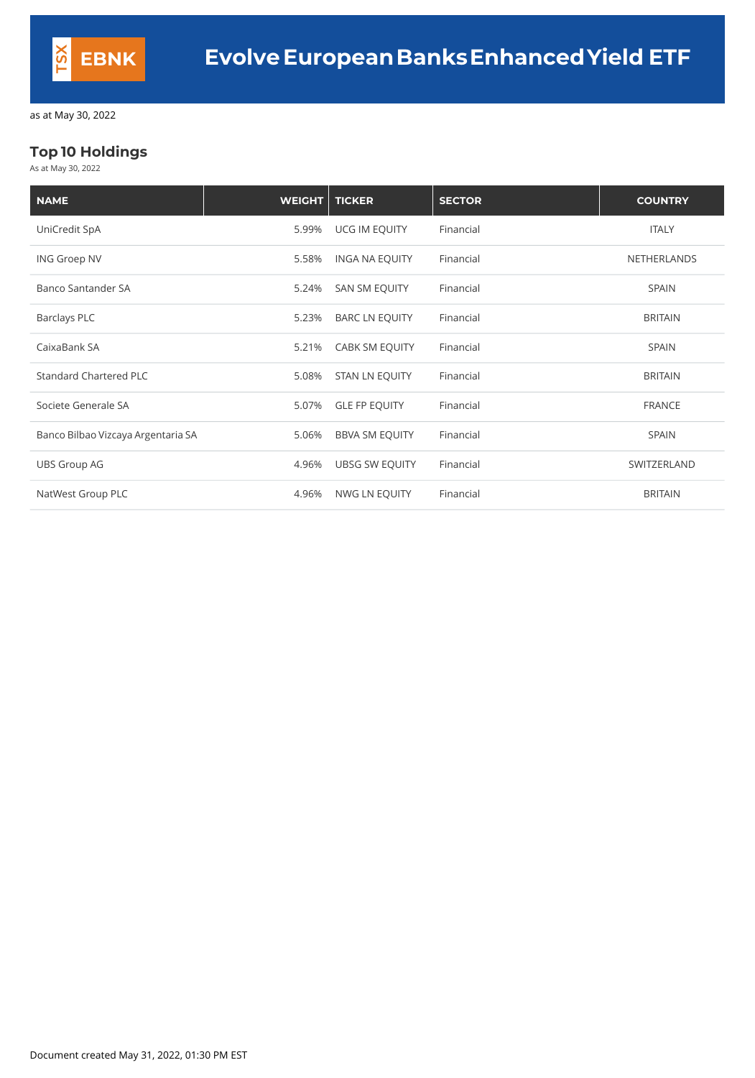## **Top 10 Holdings**

As at May 30, 2022

| <b>NAME</b>                        | <b>WEIGHT</b> | <b>TICKER</b>         | <b>SECTOR</b> | <b>COUNTRY</b>     |
|------------------------------------|---------------|-----------------------|---------------|--------------------|
| UniCredit SpA                      | 5.99%         | UCG IM EQUITY         | Financial     | <b>ITALY</b>       |
| <b>ING Groep NV</b>                | 5.58%         | <b>INGA NA EQUITY</b> | Financial     | <b>NETHERLANDS</b> |
| <b>Banco Santander SA</b>          | 5.24%         | <b>SAN SM EQUITY</b>  | Financial     | <b>SPAIN</b>       |
| <b>Barclays PLC</b>                | 5.23%         | <b>BARC LN EQUITY</b> | Financial     | <b>BRITAIN</b>     |
| CaixaBank SA                       | 5.21%         | <b>CABK SM EQUITY</b> | Financial     | <b>SPAIN</b>       |
| <b>Standard Chartered PLC</b>      | 5.08%         | <b>STAN LN EQUITY</b> | Financial     | <b>BRITAIN</b>     |
| Societe Generale SA                | 5.07%         | <b>GLE FP EQUITY</b>  | Financial     | <b>FRANCE</b>      |
| Banco Bilbao Vizcaya Argentaria SA | 5.06%         | <b>BBVA SM EQUITY</b> | Financial     | <b>SPAIN</b>       |
| <b>UBS Group AG</b>                | 4.96%         | <b>UBSG SW EQUITY</b> | Financial     | SWITZERLAND        |
| NatWest Group PLC                  | 4.96%         | NWG LN EQUITY         | Financial     | <b>BRITAIN</b>     |

Document created May 31, 2022, 01:30 PM EST

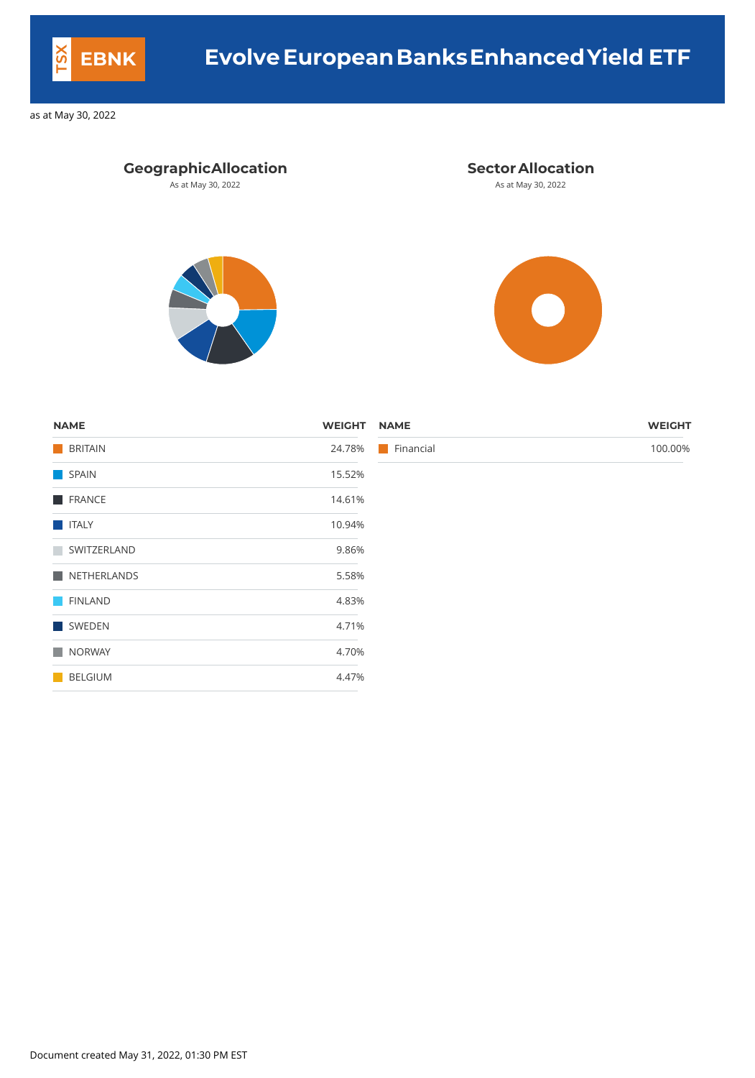## **GeographicAllocation Sector Allocation**

As at May 30, 2022 **As at May 30, 2022** As at May 30, 2022





| <b>NAME</b>      | <b>WEIGHT</b> | <b>NAME</b>              | <b>WEIGHT</b> |
|------------------|---------------|--------------------------|---------------|
| <b>BRITAIN</b>   | 24.78%        | $\blacksquare$ Financial | 100.00%       |
| SPAIN            | 15.52%        |                          |               |
| <b>FRANCE</b>    | 14.61%        |                          |               |
| <b>TELESCOPE</b> | 10.94%        |                          |               |
| SWITZERLAND      | 9.86%         |                          |               |
| NETHERLANDS      | 5.58%         |                          |               |
| <b>FINLAND</b>   | 4.83%         |                          |               |
| SWEDEN           | 4.71%         |                          |               |
| NORWAY           | 4.70%         |                          |               |
| BELGIUM          | 4.47%         |                          |               |

Document created May 31, 2022, 01:30 PM EST



## **EBNK Evolve EuropeanBanksEnhancedYield ETF**